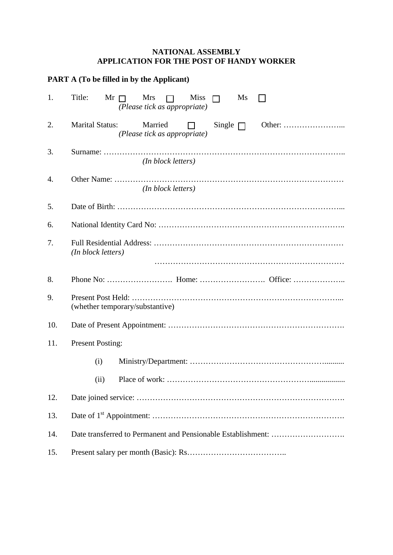## **NATIONAL ASSEMBLY APPLICATION FOR THE POST OF HANDY WORKER**

| <b>PART A (To be filled in by the Applicant)</b> |                                                                                              |  |  |  |
|--------------------------------------------------|----------------------------------------------------------------------------------------------|--|--|--|
| 1.                                               | Title:<br>$Mr \Box$<br>Mrs<br>Miss<br>Ms<br>$\Box$<br>$\Box$<br>(Please tick as appropriate) |  |  |  |
| 2.                                               | <b>Marital Status:</b><br>Married<br>Single $\Box$<br>$\Box$<br>(Please tick as appropriate) |  |  |  |
| 3.                                               | (In block letters)                                                                           |  |  |  |
| 4.                                               | (In block letters)                                                                           |  |  |  |
| 5.                                               |                                                                                              |  |  |  |
| 6.                                               |                                                                                              |  |  |  |
| 7.                                               | (In block letters)                                                                           |  |  |  |
| 8.                                               |                                                                                              |  |  |  |
| 9.                                               | (whether temporary/substantive)                                                              |  |  |  |
| 10.                                              |                                                                                              |  |  |  |
| 11.                                              | <b>Present Posting:</b>                                                                      |  |  |  |
|                                                  | (i)                                                                                          |  |  |  |
|                                                  | (ii)                                                                                         |  |  |  |
| 12.                                              |                                                                                              |  |  |  |
| 13.                                              |                                                                                              |  |  |  |
| 14.                                              |                                                                                              |  |  |  |
| 15.                                              |                                                                                              |  |  |  |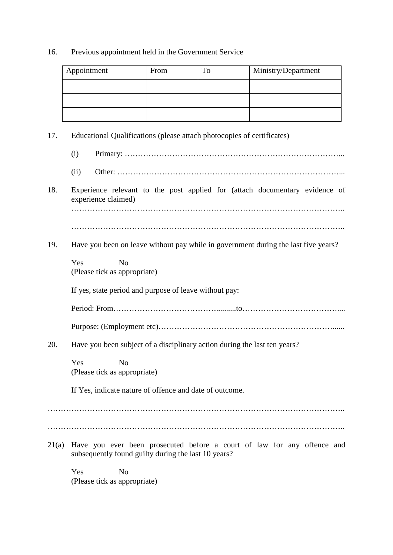## 16. Previous appointment held in the Government Service

|       | Appointment                                                                        | From                                                                                               | To | Ministry/Department                                                     |  |  |
|-------|------------------------------------------------------------------------------------|----------------------------------------------------------------------------------------------------|----|-------------------------------------------------------------------------|--|--|
|       |                                                                                    |                                                                                                    |    |                                                                         |  |  |
|       |                                                                                    |                                                                                                    |    |                                                                         |  |  |
| 17.   | Educational Qualifications (please attach photocopies of certificates)             |                                                                                                    |    |                                                                         |  |  |
|       | (i)                                                                                |                                                                                                    |    |                                                                         |  |  |
|       | (ii)                                                                               |                                                                                                    |    |                                                                         |  |  |
| 18.   |                                                                                    | Experience relevant to the post applied for (attach documentary evidence of<br>experience claimed) |    |                                                                         |  |  |
|       |                                                                                    |                                                                                                    |    |                                                                         |  |  |
| 19.   | Have you been on leave without pay while in government during the last five years? |                                                                                                    |    |                                                                         |  |  |
|       | Yes<br>N <sub>o</sub><br>(Please tick as appropriate)                              |                                                                                                    |    |                                                                         |  |  |
|       | If yes, state period and purpose of leave without pay:                             |                                                                                                    |    |                                                                         |  |  |
|       |                                                                                    |                                                                                                    |    |                                                                         |  |  |
|       |                                                                                    |                                                                                                    |    |                                                                         |  |  |
| 20.   | Have you been subject of a disciplinary action during the last ten years?          |                                                                                                    |    |                                                                         |  |  |
|       | Yes<br>N <sub>o</sub><br>(Please tick as appropriate)                              |                                                                                                    |    |                                                                         |  |  |
|       | If Yes, indicate nature of offence and date of outcome.                            |                                                                                                    |    |                                                                         |  |  |
|       |                                                                                    |                                                                                                    |    |                                                                         |  |  |
| 21(a) | subsequently found guilty during the last 10 years?                                |                                                                                                    |    | Have you ever been prosecuted before a court of law for any offence and |  |  |
|       | Yes<br>N <sub>o</sub>                                                              |                                                                                                    |    |                                                                         |  |  |

(Please tick as appropriate)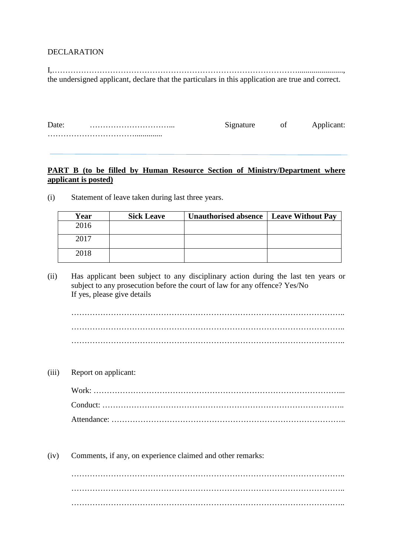## DECLARATION

I,…………………………………………………………………………………......................., the undersigned applicant, declare that the particulars in this application are true and correct.

| Date: |  |  |
|-------|--|--|
|       |  |  |

## **PART B (to be filled by Human Resource Section of Ministry/Department where applicant is posted)**

| Year | <b>Sick Leave</b> | Unauthorised absence   Leave Without Pay |  |
|------|-------------------|------------------------------------------|--|
| 2016 |                   |                                          |  |
| 2017 |                   |                                          |  |
| 2018 |                   |                                          |  |

(i) Statement of leave taken during last three years.

(ii) Has applicant been subject to any disciplinary action during the last ten years or subject to any prosecution before the court of law for any offence? Yes/No If yes, please give details

………………………………………………………………………………………….. ………………………………………………………………………………………….. …………………………………………………………………………………………..

(iii) Report on applicant:

(iv) Comments, if any, on experience claimed and other remarks:

………………………………………………………………………………………….. …………………………………………………………………………………………..